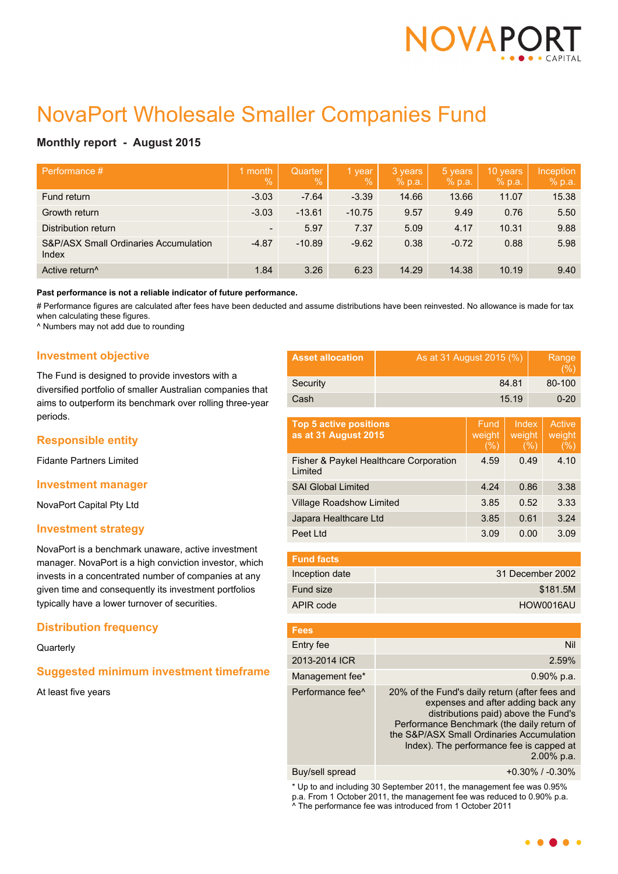

# NovaPort Wholesale Smaller Companies Fund

# **Monthly report - August 2015**

| Performance #                                             | month<br>$\frac{0}{0}$   | Quarter<br>$\%$ | 1 year<br>$\%$ | 3 years<br>% p.a. | 5 years<br>% p.a. | 10 years<br>% p.a. | Inception<br>% p.a. |
|-----------------------------------------------------------|--------------------------|-----------------|----------------|-------------------|-------------------|--------------------|---------------------|
| Fund return                                               | $-3.03$                  | $-7.64$         | $-3.39$        | 14.66             | 13.66             | 11.07              | 15.38               |
| Growth return                                             | $-3.03$                  | $-13.61$        | $-10.75$       | 9.57              | 9.49              | 0.76               | 5.50                |
| Distribution return                                       | $\overline{\phantom{a}}$ | 5.97            | 7.37           | 5.09              | 4.17              | 10.31              | 9.88                |
| <b>S&amp;P/ASX Small Ordinaries Accumulation</b><br>Index | $-4.87$                  | $-10.89$        | $-9.62$        | 0.38              | $-0.72$           | 0.88               | 5.98                |
| Active return <sup>^</sup>                                | 1.84                     | 3.26            | 6.23           | 14.29             | 14.38             | 10.19              | 9.40                |

**Past performance is not a reliable indicator of future performance.**

# Performance figures are calculated after fees have been deducted and assume distributions have been reinvested. No allowance is made for tax when calculating these figures.

^ Numbers may not add due to rounding

#### **Investment objective**

The Fund is designed to provide investors with a diversified portfolio of smaller Australian companies that aims to outperform its benchmark over rolling three-year periods.

# **Responsible entity**

Fidante Partners Limited

#### **Investment manager**

NovaPort Capital Pty Ltd

#### **Investment strategy**

NovaPort is a benchmark unaware, active investment manager. NovaPort is a high conviction investor, which invests in a concentrated number of companies at any given time and consequently its investment portfolios typically have a lower turnover of securities.

# **Distribution frequency**

**Quarterly** 

# **Suggested minimum investment timeframe**

At least five years

| <b>Asset allocation</b> | As at 31 August 2015 (%) | Range<br>(% ) |
|-------------------------|--------------------------|---------------|
| Security                | 84.81                    | 80-100        |
| Cash                    | 15.19                    | $0 - 20$      |

| <b>Top 5 active positions</b><br>as at 31 August 2015        | Fund<br>weight<br>(% ) | Index<br>weight<br>(%) | Active<br>weight<br>$(\% )$ |
|--------------------------------------------------------------|------------------------|------------------------|-----------------------------|
| <b>Fisher &amp; Paykel Healthcare Corporation</b><br>Limited | 4.59                   | 0.49                   | 4.10                        |
| <b>SAI Global Limited</b>                                    | 4.24                   | 0.86                   | 3.38                        |
| <b>Village Roadshow Limited</b>                              | 3.85                   | 0.52                   | 3.33                        |
| Japara Healthcare Ltd                                        | 3.85                   | 0.61                   | 3.24                        |
| Peet Ltd                                                     | 3.09                   | 0.00                   | 3.09                        |

| <b>Fund facts</b> |                  |
|-------------------|------------------|
| Inception date    | 31 December 2002 |
| Fund size         | \$181.5M         |
| APIR code         | HOW0016AU        |

| <b>Fees</b>                  |                                                                                                                                                                                                                                                                                      |
|------------------------------|--------------------------------------------------------------------------------------------------------------------------------------------------------------------------------------------------------------------------------------------------------------------------------------|
| Entry fee                    | Nil                                                                                                                                                                                                                                                                                  |
| 2013-2014 ICR                | 2.59%                                                                                                                                                                                                                                                                                |
| Management fee*              | $0.90\%$ p.a.                                                                                                                                                                                                                                                                        |
| Performance fee <sup>^</sup> | 20% of the Fund's daily return (after fees and<br>expenses and after adding back any<br>distributions paid) above the Fund's<br>Performance Benchmark (the daily return of<br>the S&P/ASX Small Ordinaries Accumulation<br>Index). The performance fee is capped at<br>$2.00\%$ p.a. |
|                              |                                                                                                                                                                                                                                                                                      |

Buy/sell spread +0.30% / -0.30%

\* Up to and including 30 September 2011, the management fee was 0.95% p.a. From 1 October 2011, the management fee was reduced to 0.90% p.a. ^ The performance fee was introduced from 1 October 2011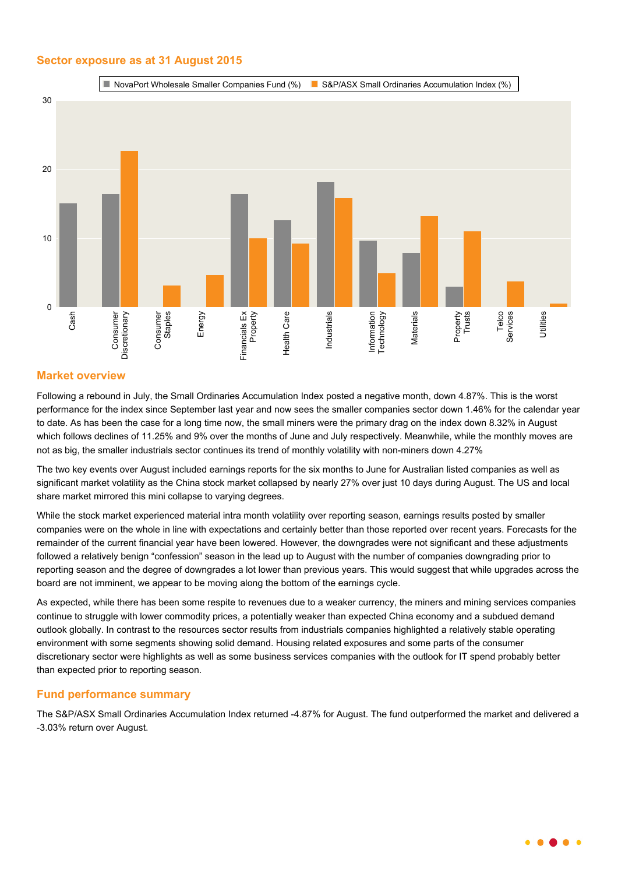## **Sector exposure as at 31 August 2015**



#### **Market overview**

Following a rebound in July, the Small Ordinaries Accumulation Index posted a negative month, down 4.87%. This is the worst performance for the index since September last year and now sees the smaller companies sector down 1.46% for the calendar year to date. As has been the case for a long time now, the small miners were the primary drag on the index down 8.32% in August which follows declines of 11.25% and 9% over the months of June and July respectively. Meanwhile, while the monthly moves are not as big, the smaller industrials sector continues its trend of monthly volatility with non-miners down 4.27%

The two key events over August included earnings reports for the six months to June for Australian listed companies as well as significant market volatility as the China stock market collapsed by nearly 27% over just 10 days during August. The US and local share market mirrored this mini collapse to varying degrees.

While the stock market experienced material intra month volatility over reporting season, earnings results posted by smaller companies were on the whole in line with expectations and certainly better than those reported over recent years. Forecasts for the remainder of the current financial year have been lowered. However, the downgrades were not significant and these adjustments followed a relatively benign "confession" season in the lead up to August with the number of companies downgrading prior to reporting season and the degree of downgrades a lot lower than previous years. This would suggest that while upgrades across the board are not imminent, we appear to be moving along the bottom of the earnings cycle.

As expected, while there has been some respite to revenues due to a weaker currency, the miners and mining services companies continue to struggle with lower commodity prices, a potentially weaker than expected China economy and a subdued demand outlook globally. In contrast to the resources sector results from industrials companies highlighted a relatively stable operating environment with some segments showing solid demand. Housing related exposures and some parts of the consumer discretionary sector were highlights as well as some business services companies with the outlook for IT spend probably better than expected prior to reporting season.

#### **Fund performance summary**

The S&P/ASX Small Ordinaries Accumulation Index returned -4.87% for August. The fund outperformed the market and delivered a -3.03% return over August.